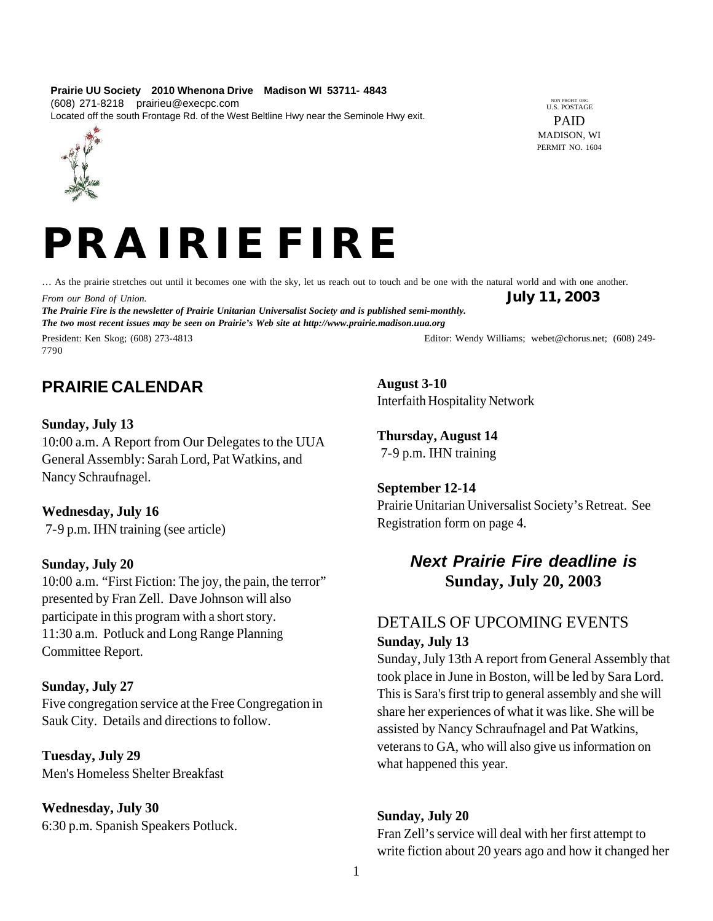#### **Prairie UU Society 2010 Whenona Drive Madison WI 53711- 4843** (608) 271-8218 prairieu@execpc.com Located off the south Frontage Rd. of the West Beltline Hwy near the Seminole Hwy exit.

NON PROFIT ORG U.S. POSTAGE PAID MADISON, WI PERMIT NO. 1604



# *PRAIRIE FIRE*

… As the prairie stretches out until it becomes one with the sky, let us reach out to touch and be one with the natural world and with one another. *From our Bond of Union.* **July 11, 2003** *The Prairie Fire is the newsletter of Prairie Unitarian Universalist Society and is published semi-monthly. The two most recent issues may be seen on Prairie's Web site at http://www.prairie.madison.uua.org*

President: Ken Skog; (608) 273-4813 Editor: Wendy Williams; webet@chorus.net; (608) 249-7790

## **PRAIRIE CALENDAR**

## **Sunday, July 13**

10:00 a.m. A Report from Our Delegates to the UUA General Assembly: Sarah Lord, Pat Watkins, and Nancy Schraufnagel.

## **Wednesday, July 16**

7-9 p.m. IHN training (see article)

## **Sunday, July 20**

10:00 a.m. "First Fiction: The joy, the pain, the terror" presented by Fran Zell. Dave Johnson will also participate in this program with a short story. 11:30 a.m. Potluck and Long Range Planning Committee Report.

#### **Sunday, July 27**

Five congregation service at the Free Congregation in Sauk City. Details and directions to follow.

**Tuesday, July 29** Men's Homeless Shelter Breakfast

## **Wednesday, July 30**

6:30 p.m. Spanish Speakers Potluck.

**August 3-10** Interfaith Hospitality Network

**Thursday, August 14** 7-9 p.m. IHN training

## **September 12-14**

Prairie Unitarian Universalist Society's Retreat. See Registration form on page 4.

## *Next Prairie Fire deadline is*  **Sunday, July 20, 2003**

## DETAILS OF UPCOMING EVENTS **Sunday, July 13**

Sunday, July 13th A report from General Assembly that took place in June in Boston, will be led by Sara Lord. This is Sara's first trip to general assembly and she will share her experiences of what it was like. She will be assisted by Nancy Schraufnagel and Pat Watkins, veterans to GA, who will also give us information on what happened this year.

## **Sunday, July 20**

Fran Zell's service will deal with her first attempt to write fiction about 20 years ago and how it changed her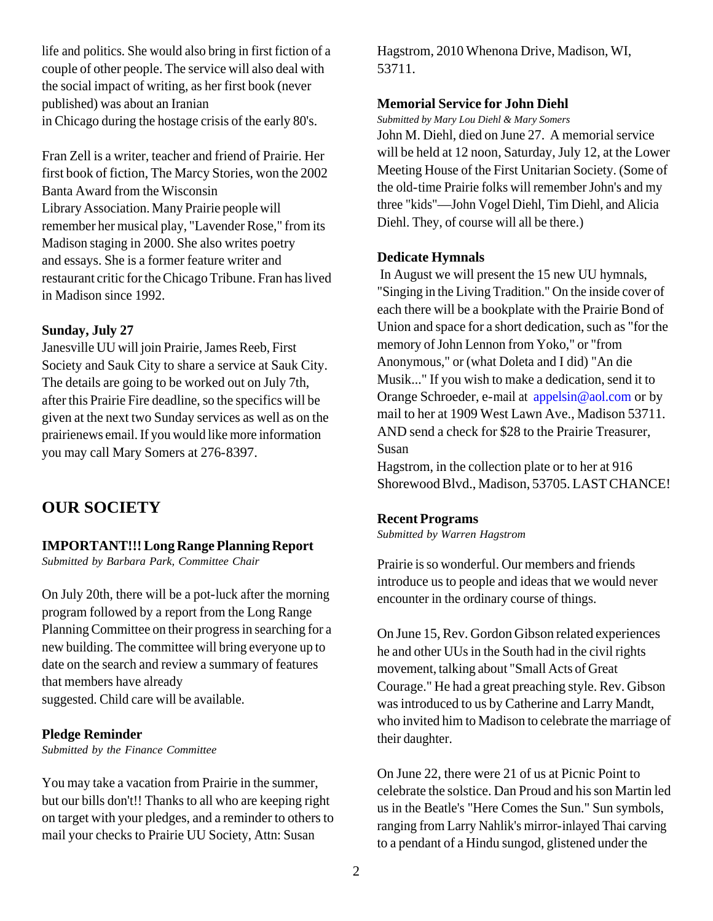life and politics. She would also bring in first fiction of a couple of other people. The service will also deal with the social impact of writing, as her first book (never published) was about an Iranian in Chicago during the hostage crisis of the early 80's.

Fran Zell is a writer, teacher and friend of Prairie. Her first book of fiction, The Marcy Stories, won the 2002 Banta Award from the Wisconsin Library Association. Many Prairie people will remember her musical play, "Lavender Rose," from its Madison staging in 2000. She also writes poetry and essays. She is a former feature writer and restaurant critic for the Chicago Tribune. Fran has lived in Madison since 1992.

#### **Sunday, July 27**

Janesville UU will join Prairie, James Reeb, First Society and Sauk City to share a service at Sauk City. The details are going to be worked out on July 7th, after this Prairie Fire deadline, so the specifics will be given at the next two Sunday services as well as on the prairienews email. If you would like more information you may call Mary Somers at 276-8397.

## **OUR SOCIETY**

## **IMPORTANT!!! Long Range Planning Report**

*Submitted by Barbara Park, Committee Chair*

On July 20th, there will be a pot-luck after the morning program followed by a report from the Long Range Planning Committee on their progress in searching for a new building. The committee will bring everyone up to date on the search and review a summary of features that members have already suggested. Child care will be available.

#### **Pledge Reminder**

*Submitted by the Finance Committee*

You may take a vacation from Prairie in the summer, but our bills don't!! Thanks to all who are keeping right on target with your pledges, and a reminder to others to mail your checks to Prairie UU Society, Attn: Susan

Hagstrom, 2010 Whenona Drive, Madison, WI, 53711.

## **Memorial Service for John Diehl**

*Submitted by Mary Lou Diehl & Mary Somers*

John M. Diehl, died on June 27. A memorial service will be held at 12 noon, Saturday, July 12, at the Lower Meeting House of the First Unitarian Society. (Some of the old-time Prairie folks will remember John's and my three "kids"—John Vogel Diehl, Tim Diehl, and Alicia Diehl. They, of course will all be there.)

## **Dedicate Hymnals**

 In August we will present the 15 new UU hymnals, "Singing in the Living Tradition." On the inside cover of each there will be a bookplate with the Prairie Bond of Union and space for a short dedication, such as "for the memory of John Lennon from Yoko," or "from Anonymous," or (what Doleta and I did) "An die Musik..." If you wish to make a dedication, send it to Orange Schroeder, e-mail at appelsin@aol.com or by mail to her at 1909 West Lawn Ave., Madison 53711. AND send a check for \$28 to the Prairie Treasurer, Susan

Hagstrom, in the collection plate or to her at 916 Shorewood Blvd., Madison, 53705. LAST CHANCE!

#### **Recent Programs**

*Submitted by Warren Hagstrom*

Prairie is so wonderful. Our members and friends introduce us to people and ideas that we would never encounter in the ordinary course of things.

On June 15, Rev. Gordon Gibson related experiences he and other UUs in the South had in the civil rights movement, talking about "Small Acts of Great Courage." He had a great preaching style. Rev. Gibson was introduced to us by Catherine and Larry Mandt, who invited him to Madison to celebrate the marriage of their daughter.

On June 22, there were 21 of us at Picnic Point to celebrate the solstice. Dan Proud and his son Martin led us in the Beatle's "Here Comes the Sun." Sun symbols, ranging from Larry Nahlik's mirror-inlayed Thai carving to a pendant of a Hindu sungod, glistened under the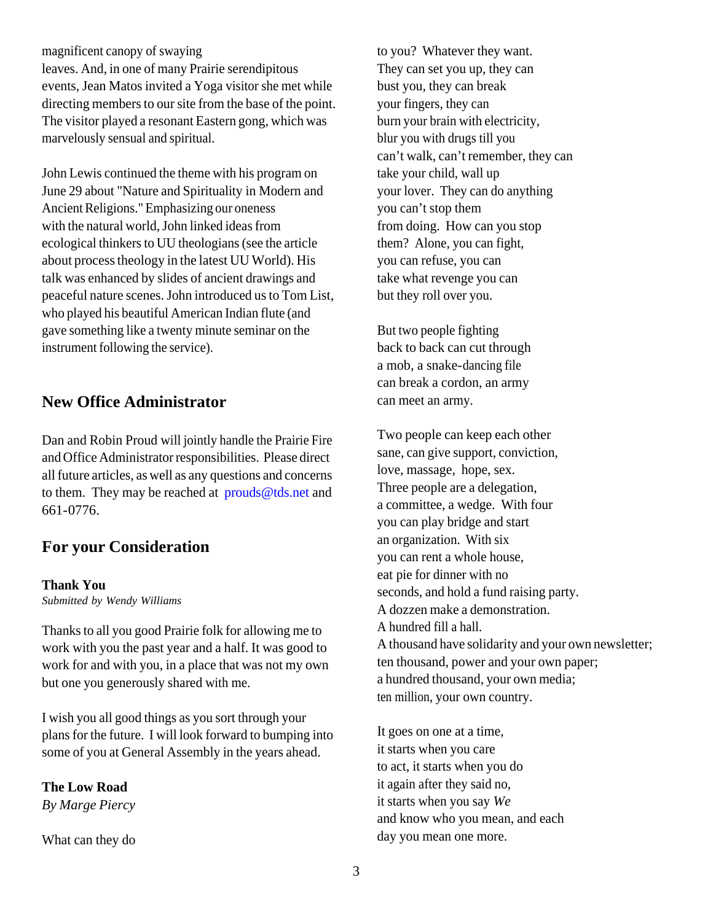magnificent canopy of swaying leaves. And, in one of many Prairie serendipitous events, Jean Matos invited a Yoga visitor she met while directing members to our site from the base of the point. The visitor played a resonant Eastern gong, which was marvelously sensual and spiritual.

John Lewis continued the theme with his program on June 29 about "Nature and Spirituality in Modern and Ancient Religions." Emphasizing our oneness with the natural world, John linked ideas from ecological thinkers to UU theologians (see the article about process theology in the latest UU World). His talk was enhanced by slides of ancient drawings and peaceful nature scenes. John introduced us to Tom List, who played his beautiful American Indian flute (and gave something like a twenty minute seminar on the instrument following the service).

## **New Office Administrator**

Dan and Robin Proud will jointly handle the Prairie Fire and Office Administrator responsibilities. Please direct all future articles, as well as any questions and concerns to them. They may be reached at prouds@tds.net and 661-0776.

## **For your Consideration**

#### **Thank You**

*Submitted by Wendy Williams*

Thanks to all you good Prairie folk for allowing me to work with you the past year and a half. It was good to work for and with you, in a place that was not my own but one you generously shared with me.

I wish you all good things as you sort through your plans for the future. I will look forward to bumping into some of you at General Assembly in the years ahead.

**The Low Road** *By Marge Piercy*

What can they do

to you? Whatever they want. They can set you up, they can bust you, they can break your fingers, they can burn your brain with electricity, blur you with drugs till you can't walk, can't remember, they can take your child, wall up your lover. They can do anything you can't stop them from doing. How can you stop them? Alone, you can fight, you can refuse, you can take what revenge you can but they roll over you.

But two people fighting back to back can cut through a mob, a snake-dancing file can break a cordon, an army can meet an army.

Two people can keep each other sane, can give support, conviction, love, massage, hope, sex. Three people are a delegation, a committee, a wedge. With four you can play bridge and start an organization. With six you can rent a whole house, eat pie for dinner with no seconds, and hold a fund raising party. A dozzen make a demonstration. A hundred fill a hall. A thousand have solidarity and your own newsletter; ten thousand, power and your own paper; a hundred thousand, your own media; ten million, your own country.

It goes on one at a time, it starts when you care to act, it starts when you do it again after they said no, it starts when you say *We* and know who you mean, and each day you mean one more.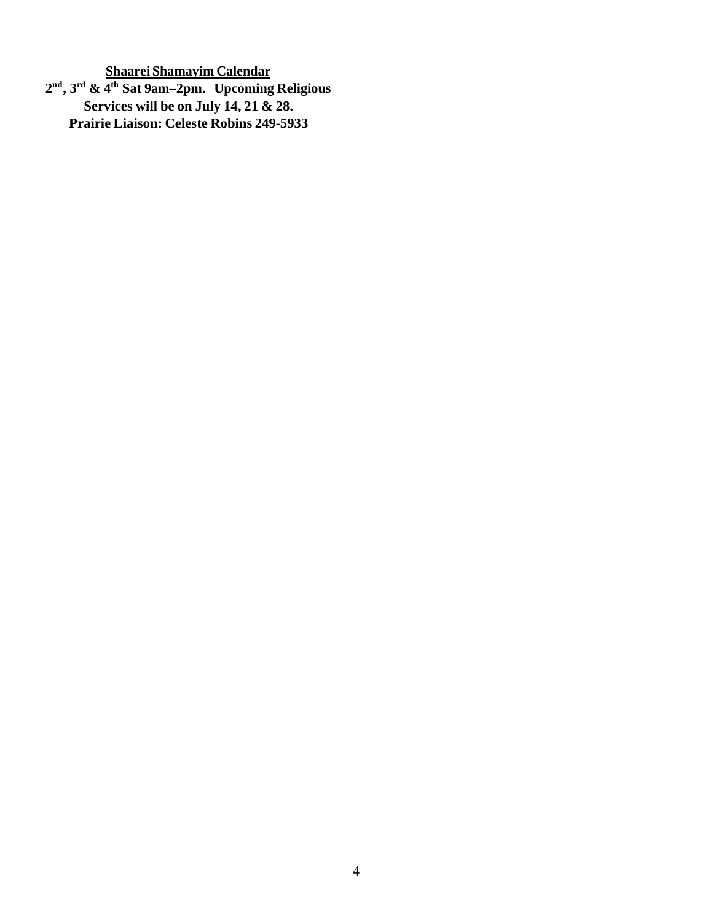**Shaarei Shamayim Calendar 2 nd, 3rd & 4th Sat 9am–2pm. Upcoming Religious Services will be on July 14, 21 & 28. Prairie Liaison: Celeste Robins 249-5933**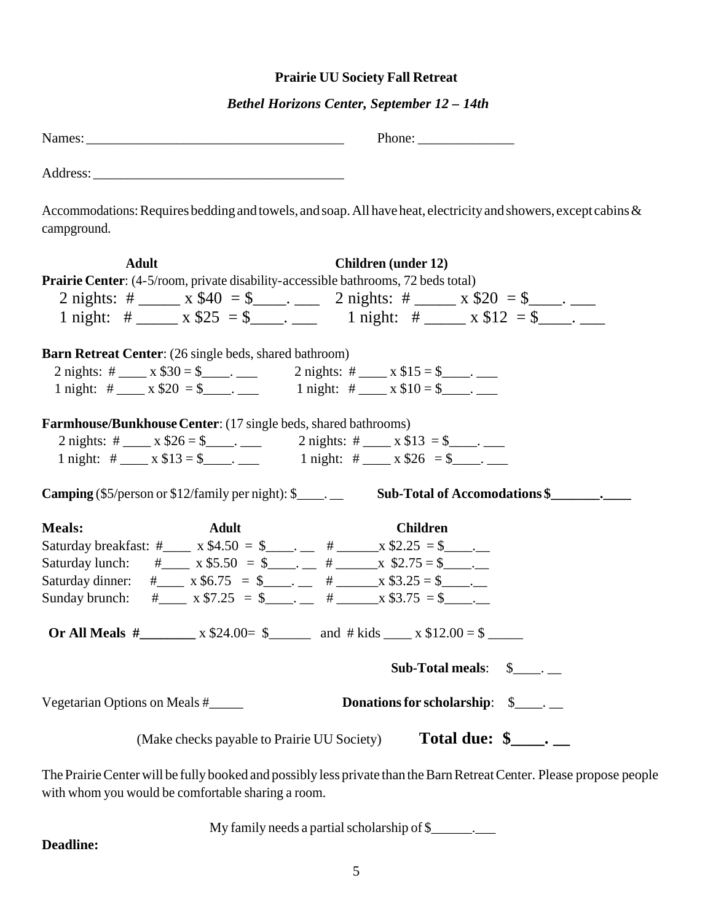## **Prairie UU Society Fall Retreat**

## *Bethel Horizons Center, September 12 – 14th*

|                                                                                                                     | Phone:                                                                                                         |
|---------------------------------------------------------------------------------------------------------------------|----------------------------------------------------------------------------------------------------------------|
|                                                                                                                     |                                                                                                                |
| campground.                                                                                                         | Accommodations: Requires bedding and towels, and soap. All have heat, electricity and showers, except cabins & |
| <b>Adult</b>                                                                                                        | <b>Children</b> (under 12)                                                                                     |
| <b>Prairie Center:</b> (4-5/room, private disability-accessible bathrooms, 72 beds total)                           |                                                                                                                |
|                                                                                                                     | 2 nights: # ______ x \$40 = \$ _____. _____ 2 nights: # ______ x \$20 = \$ ____.                               |
|                                                                                                                     | 1 night: # ______ x \$25 = \$ _____. 1 night: # _____ x \$12 = \$ ____.                                        |
|                                                                                                                     |                                                                                                                |
| <b>Barn Retreat Center:</b> (26 single beds, shared bathroom)                                                       |                                                                                                                |
| 2 nights: # _____ x \$30 = \$ ____. 2 nights: # ____ x \$15 = \$ ____. __                                           |                                                                                                                |
| 1 night: # ____ x \$20 = \$ ____.                                                                                   | 1 night: # ____ x $$10 = $$ ___.                                                                               |
| <b>Farmhouse/Bunkhouse Center:</b> (17 single beds, shared bathrooms)                                               |                                                                                                                |
| 2 nights: # ____ x \$26 = \$ ____. 2 nights: # ___ x \$13 = \$ ___.                                                 |                                                                                                                |
| 1 night: # ____ x \$13 = \$ _____.                                                                                  | 1 night: # $x $26 = $$ .                                                                                       |
| <b>Camping</b> (\$5/person or \$12/family per night): $\frac{1}{2}$ .                                               |                                                                                                                |
| <b>Meals:</b><br><b>Adult</b>                                                                                       | <b>Children</b>                                                                                                |
| Saturday breakfast: #_____ x \$4.50 = \$_______ # _____ x \$2.25 = \$_____                                          |                                                                                                                |
| Saturday lunch: #_____ x \$5.50 = \$______ # _____ x \$2.75 = \$_____                                               |                                                                                                                |
| Saturday dinner: #______ x \$6.75 = \$_________ # ______ x \$3.25 = \$______                                        |                                                                                                                |
| Sunday brunch: #_____ x \$7.25 = \$_____. ___ # _____ x \$3.75 = \$____.                                            |                                                                                                                |
| Or All Meals #______________ x \$24.00= \$___________ and #kids ______ x \$12.00 = \$_________                      |                                                                                                                |
| Sub-Total meals: $\quad \quad \text{S}$ _____.                                                                      |                                                                                                                |
| Donations for scholarship: \$<br>Vegetarian Options on Meals #                                                      |                                                                                                                |
| Total due: $\frac{1}{2}$ .<br>(Make checks payable to Prairie UU Society)                                           |                                                                                                                |
| The Prairie Center will be fully booked and possibly less private than the Barn Retreat Center. Please propose peop |                                                                                                                |

The Prairie Center will be fully booked and possibly less private than the Barn Retreat Center. Please propose people with whom you would be comfortable sharing a room.

My family needs a partial scholarship of \$\_\_\_\_\_\_\_.

**Deadline:**